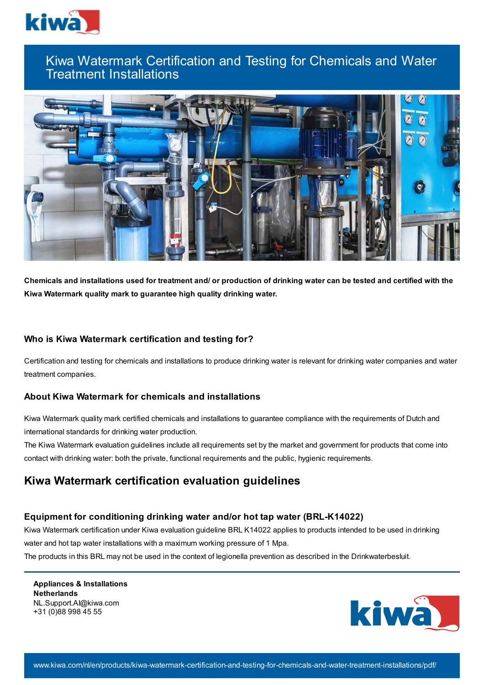

# Kiwa Watermark Certification and Testing for Chemicals and Water Treatment Installations



Chemicals and installations used for treatment and/ or production of drinking water can be tested and certified with the **Kiwa Watermark quality mark to guarantee high quality drinking water.**

## **Who is Kiwa Watermark certification and testing for?**

Certification and testing for chemicals and installations to produce drinking water is relevant for drinking water companies and water treatment companies.

## **About Kiwa Watermark for chemicals and installations**

Kiwa Watermark quality mark certified chemicals and installations to guarantee compliance with the requirements of Dutch and international standards for drinking water production.

The Kiwa Watermark evaluation guidelines include all requirements set by the market and government for products that come into contact with drinking water: both the private, functional requirements and the public, hygienic requirements.

## **Kiwa Watermark certification evaluation guidelines**

### **Equipment for conditioning drinking water and/or hot tap water (BRL-K14022)**

Kiwa Watermark certification under Kiwa evaluation guideline BRL K14022 applies to products intended to be used in drinking water and hot tap water installations with a maximum working pressure of 1 Mpa.

The products in this BRL may not be used in the context of legionella prevention as described in the Drinkwaterbesluit.

**Appliances & Installations Netherlands** NL.Support.AI@kiwa.com +31 (0)88 998 45 55

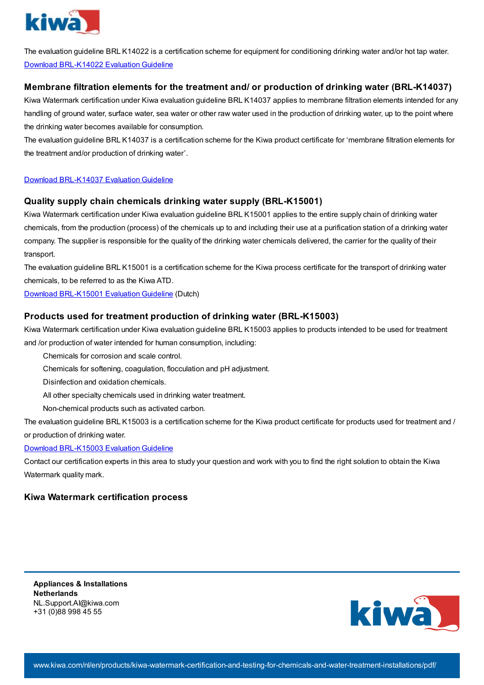

The evaluation guideline BRL K14022 is a certification scheme for equipment for conditioning drinking water and/or hot tap water. Download [BRL-K14022](https://www.kiwa.com//4b0ba8/globalassets/dam/kiwa-corporate/downloads/brl-k14022---equipment-for-conditioning-drinking-water-and-or-hot-tapwater---20180112---binding-en.pdf) Evaluation Guideline

## **Membrane filtration elements for the treatment and/ or production of drinking water (BRL-K14037)**

Kiwa Watermark certification under Kiwa evaluation guideline BRL K14037 applies to membrane filtration elements intended for any handling of ground water, surface water, sea water or other raw water used in the production of drinking water, up to the point where the drinking water becomes available for consumption.

The evaluation guideline BRL K14037 is a certification scheme for the Kiwa product certificate for 'membrane filtration elements for the treatment and/or production of drinking water'.

### Download [BRL-K14037](https://www.kiwa.com//4a3d04/globalassets/dam/kiwa-corporate/downloads/2017-11-21---brl-k14037---def.docx.pdf) Evaluation Guideline

### **Quality supply chain chemicals drinking water supply (BRL-K15001)**

Kiwa Watermark certification under Kiwa evaluation guideline BRL K15001 applies to the entire supply chain of drinking water chemicals, from the production (process) of the chemicals up to and including their use at a purification station of a drinking water company. The supplier is responsible for the quality of the drinking water chemicals delivered, the carrier for the quality of their transport.

The evaluation guideline BRL K15001 is a certification scheme for the Kiwa process certificate for the transport of drinking water chemicals, to be referred to as the Kiwa ATD.

Download [BRL-K15001](https://www.kiwa.com//490457/globalassets/dam/kiwa-netherlands/downloads/brl-k15001-dd-26-09-2018.pdf) Evaluation Guideline (Dutch)

### **Products used for treatment production of drinking water (BRL-K15003)**

Kiwa Watermark certification under Kiwa evaluation guideline BRL K15003 applies to products intended to be used for treatment and /or production of water intended for human consumption, including:

Chemicals for corrosion and scale control.

Chemicals for softening, coagulation, flocculation and pH adjustment.

Disinfection and oxidation chemicals.

All other specialty chemicals used in drinking water treatment.

Non-chemical products such as activated carbon.

The evaluation guideline BRL K15003 is a certification scheme for the Kiwa product certificate for products used for treatment and / or production of drinking water.

#### Download [BRL-K15003](https://www.kiwa.com//4995a3/globalassets/dam/kiwa-corporate/downloads/k15003-.pdf) Evaluation Guideline

Contact our certification experts in this area to study your question and work with you to find the right solution to obtain the Kiwa Watermark quality mark.

### **Kiwa Watermark certification process**

**Appliances & Installations Netherlands** NL.Support.AI@kiwa.com +31 (0)88 998 45 55